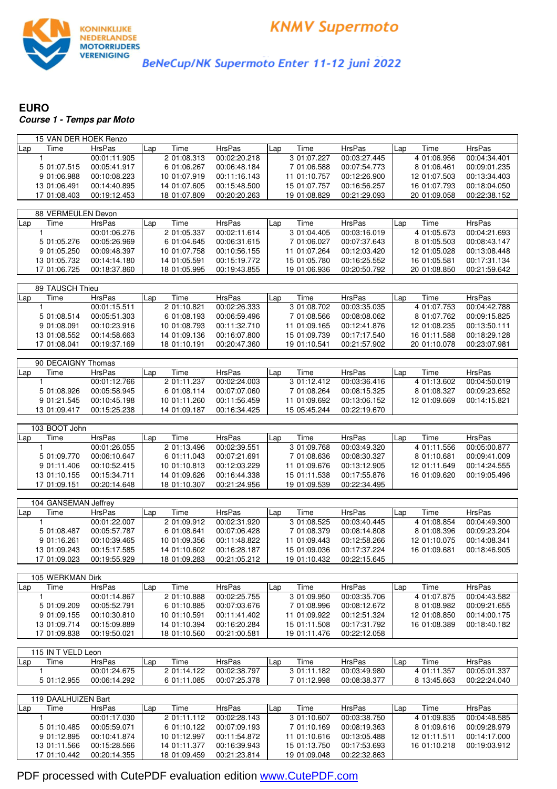

BeNeCup/NK Supermoto Enter 11-12 juni 2022

## **EURO Course 1 - Temps par Moto**

| 15 VAN DER HOEK Renzo |               |              |               |              |               |              |               |
|-----------------------|---------------|--------------|---------------|--------------|---------------|--------------|---------------|
| Time<br>Lap           | <b>HrsPas</b> | Time<br>Lap  | HrsPas        | Time<br>Lap  | <b>HrsPas</b> | Time<br>Lap  | <b>HrsPas</b> |
| $\mathbf{1}$          | 00:01:11.905  | 2 01:08.313  | 00:02:20.218  | 3 01:07.227  | 00:03:27.445  | 4 01:06.956  | 00:04:34.401  |
| 5 01:07.515           | 00:05:41.917  | 6 01:06.267  | 00:06:48.184  | 7 01:06.588  | 00:07:54.773  | 8 01:06.461  | 00:09:01.235  |
| 9 01:06.988           | 00:10:08.223  | 10 01:07.919 | 00:11:16.143  | 11 01:10.757 | 00:12:26.900  | 12 01:07.503 | 00:13:34.403  |
| 13 01:06.491          | 00:14:40.895  | 14 01:07.605 | 00:15:48.500  | 15 01:07.757 | 00:16:56.257  | 16 01:07.793 | 00:18:04.050  |
| 17 01:08.403          | 00:19:12.453  | 18 01:07.809 | 00:20:20.263  | 19 01:08.829 | 00:21:29.093  | 20 01:09.058 | 00:22:38.152  |
|                       |               |              |               |              |               |              |               |
| 88 VERMEULEN Devon    |               |              |               |              |               |              |               |
| Time<br>Lap           | <b>HrsPas</b> | Time<br>Lap  | <b>HrsPas</b> | Time<br>Lap  | <b>HrsPas</b> | Time<br>Lap  | <b>HrsPas</b> |
| 1                     | 00:01:06.276  | 2 01:05.337  | 00:02:11.614  | 3 01:04.405  | 00:03:16.019  | 4 01:05.673  | 00:04:21.693  |
| 5 01:05.276           | 00:05:26.969  | 6 01:04.645  | 00:06:31.615  | 7 01:06.027  | 00:07:37.643  | 8 01:05.503  | 00:08:43.147  |
| 9 01:05.250           | 00:09:48.397  | 10 01:07.758 | 00:10:56.155  | 11 01:07.264 | 00:12:03.420  | 12 01:05.028 | 00:13:08.448  |
| 13 01:05.732          | 00:14:14.180  | 14 01:05.591 | 00:15:19.772  | 15 01:05.780 | 00:16:25.552  | 16 01:05.581 | 00:17:31.134  |
| 17 01:06.725          | 00:18:37.860  | 18 01:05.995 | 00:19:43.855  | 19 01:06.936 | 00:20:50.792  | 20 01:08.850 | 00:21:59.642  |
|                       |               |              |               |              |               |              |               |
| 89 TAUSCH Thieu       |               |              |               |              |               |              |               |
| Time<br>Lap           | <b>HrsPas</b> | Time<br>Lap  | <b>HrsPas</b> | Time<br>Lap  | <b>HrsPas</b> | Time<br>Lap  | <b>HrsPas</b> |
| $\mathbf{1}$          | 00:01:15.511  | 2 01:10.821  | 00:02:26.333  | 3 01:08.702  | 00:03:35.035  | 4 01:07.753  | 00:04:42.788  |
| 5 01:08.514           | 00:05:51.303  | 6 01:08.193  | 00:06:59.496  | 7 01:08.566  | 00:08:08.062  | 8 01:07.762  | 00:09:15.825  |
| 9 01:08.091           | 00:10:23.916  | 10 01:08.793 | 00:11:32.710  | 11 01:09.165 | 00:12:41.876  | 12 01:08.235 | 00:13:50.111  |
| 13 01:08.552          | 00:14:58.663  | 14 01:09.136 | 00:16:07.800  | 15 01:09.739 | 00:17:17.540  | 16 01:11.588 | 00:18:29.128  |
| 17 01:08.041          | 00:19:37.169  | 18 01:10.191 | 00:20:47.360  | 19 01:10.541 | 00:21:57.902  | 20 01:10.078 | 00:23:07.981  |
|                       |               |              |               |              |               |              |               |
| 90 DECAIGNY Thomas    |               |              |               |              |               |              |               |
| Time<br>Lap           | <b>HrsPas</b> | Time<br>Lap  | <b>HrsPas</b> | Time<br>Lap  | <b>HrsPas</b> | Time<br>Lap  | <b>HrsPas</b> |
| 1                     | 00:01:12.766  | 2 01:11.237  | 00:02:24.003  | 3 01:12.412  | 00:03:36.416  | 4 01:13.602  | 00:04:50.019  |
| 5 01:08.926           | 00:05:58.945  | 6 01:08.114  | 00:07:07.060  | 7 01:08.264  | 00:08:15.325  | 8 01:08.327  | 00:09:23.652  |
| 9 01:21.545           | 00:10:45.198  | 10 01:11.260 | 00:11:56.459  | 11 01:09.692 | 00:13:06.152  | 12 01:09.669 | 00:14:15.821  |
| 13 01:09.417          | 00:15:25.238  | 14 01:09.187 | 00:16:34.425  | 15 05:45.244 | 00:22:19.670  |              |               |
|                       |               |              |               |              |               |              |               |
| 103 BOOT John         |               |              |               |              |               |              |               |
| Time<br>Lap           | <b>HrsPas</b> | Time<br>Lap  | <b>HrsPas</b> | Time<br>Lap  | <b>HrsPas</b> | Time<br>Lap  | <b>HrsPas</b> |
| 1                     | 00:01:26.055  | 2 01:13.496  | 00:02:39.551  | 3 01:09.768  | 00:03:49.320  | 4 01:11.556  | 00:05:00.877  |
| 5 01:09.770           | 00:06:10.647  | 6 01:11.043  | 00:07:21.691  | 7 01:08.636  | 00:08:30.327  | 8 01:10.681  | 00:09:41.009  |
| 9 01:11.406           | 00:10:52.415  | 10 01:10.813 | 00:12:03.229  | 11 01:09.676 | 00:13:12.905  | 12 01:11.649 | 00:14:24.555  |
| 13 01:10.155          | 00:15:34.711  | 14 01:09.626 | 00:16:44.338  | 15 01:11.538 | 00:17:55.876  | 16 01:09.620 | 00:19:05.496  |
| 17 01:09.151          | 00:20:14.648  | 18 01:10.307 | 00:21:24.956  | 19 01:09.539 | 00:22:34.495  |              |               |
|                       |               |              |               |              |               |              |               |
| 104 GANSEMAN Jeffrey  |               |              |               |              |               |              |               |
| Time<br>Lap           | <b>HrsPas</b> | Time<br>Lap  | HrsPas        | Time<br>Lap  | <b>HrsPas</b> | Time<br>Lap  | <b>HrsPas</b> |
| 1                     | 00:01:22.007  | 2 01:09.912  | 00:02:31.920  | 3 01:08.525  | 00:03:40.445  | 4 01:08.854  | 00:04:49.300  |
| 5 01:08.487           | 00:05:57.787  | 6 01:08.641  | 00:07:06.428  | 7 01:08.379  | 00:08:14.808  | 8 01:08.396  | 00:09:23.204  |
| 9 01:16.261           | 00:10:39.465  | 10 01:09.356 | 00:11:48.822  | 11 01:09.443 | 00:12:58.266  | 12 01:10.075 | 00:14:08.341  |
|                       | 00:15:17.585  | 14 01:10.602 | 00:16:28.187  | 15 01:09.036 | 00:17:37.224  | 16 01:09.681 | 00:18:46.905  |

|       | 105 WERKMAN Dirk |               |     |              |              |     |              |               |             |              |               |  |  |
|-------|------------------|---------------|-----|--------------|--------------|-----|--------------|---------------|-------------|--------------|---------------|--|--|
| l Lap | Time             | <b>HrsPas</b> | Lap | Time         | HrsPas       | Lap | Time         | <b>HrsPas</b> | <b>L</b> ap | Time         | <b>HrsPas</b> |  |  |
|       |                  | 00:01:14.867  |     | 2 01:10.888  | 00:02:25.755 |     | 3 01:09.950  | 00:03:35.706  |             | 4 01:07.875  | 00:04:43.582  |  |  |
|       | 5 01:09.209      | 00:05:52.791  |     | 6 01:10.885  | 00:07:03.676 |     | 7 01:08.996  | 00:08:12.672  |             | 8 01:08.982  | 00:09:21.655  |  |  |
|       | 9 01:09.155      | 00:10:30.810  |     | 10 01:10.591 | 00:11:41.402 |     | 11 01:09.922 | 00:12:51.324  |             | 12 01:08.850 | 00:14:00.175  |  |  |
|       | 13 01:09.714     | 00:15:09.889  |     | 14 01:10.394 | 00:16:20.284 |     | 15 01:11.508 | 00:17:31.792  |             | 16 01:08.389 | 00:18:40.182  |  |  |
|       | 17 01:09.838     | 00:19:50.021  |     | 18 01:10.560 | 00:21:00.581 |     | 19 01:11.476 | 00:22:12.058  |             |              |               |  |  |

17 01:09.023 00:19:55.929 18 01:09.283 00:21:05.212 19 01:10.432 00:22:15.645

|            | 115 IN T VELD Leon |               |      |             |              |     |             |               |     |             |               |
|------------|--------------------|---------------|------|-------------|--------------|-----|-------------|---------------|-----|-------------|---------------|
| <b>Lap</b> | ime                | <b>HrsPas</b> | .Lap | Time        | HrsPas       | Lap | Time        | <b>HrsPas</b> | Lar | Time        | <b>HrsPas</b> |
|            |                    | 00:01:24.675  |      | 2 01:14.122 | 00:02:38.797 |     | 3 01:11.182 | 00:03:49.980  |     | 4 01:11.357 | 00:05:01.337  |
|            | 5 01:12.955        | 00:06:14.292  |      | 6 01:11.085 | 00:07:25.378 |     | 7 01:12.998 | 00:08:38.377  |     | 8 13:45.663 | 00:22:24.040  |

|     | 119 DAALHUIZEN Bart |              |     |              |               |     |              |               |     |              |               |  |  |
|-----|---------------------|--------------|-----|--------------|---------------|-----|--------------|---------------|-----|--------------|---------------|--|--|
| Lap | Time                | HrsPas       | Lap | Time         | <b>HrsPas</b> | Lap | Time         | <b>HrsPas</b> | Lap | Time         | <b>HrsPas</b> |  |  |
|     |                     | 00:01:17.030 |     | 2 01:11.112  | 00:02:28.143  |     | 3 01:10.607  | 00:03:38.750  |     | 4 01:09.835  | 00:04:48.585  |  |  |
|     | 5 01:10.485         | 00:05:59.071 |     | 6 01:10.122  | 00:07:09.193  |     | 7 01:10.169  | 00:08:19.363  |     | 8 01:09.616  | 00:09:28.979  |  |  |
|     | 9 01:12.895         | 00:10:41.874 |     | 10 01:12.997 | 00:11:54.872  |     | 11 01:10.616 | 00:13:05.488  |     | 12 01:11.511 | 00:14:17.000  |  |  |
|     | 13 01:11.566        | 00:15:28.566 |     | 14 01:11.377 | 00:16:39.943  |     | 15 01:13.750 | 00:17:53.693  |     | 16 01:10.218 | 00:19:03.912  |  |  |
|     | 17 01:10.442        | 00:20:14.355 |     | 18 01:09.459 | 00:21:23.814  |     | 19 01:09.048 | 00:22:32.863  |     |              |               |  |  |

PDF processed with CutePDF evaluation edition [www.CutePDF.com](http://www.cutepdf.com)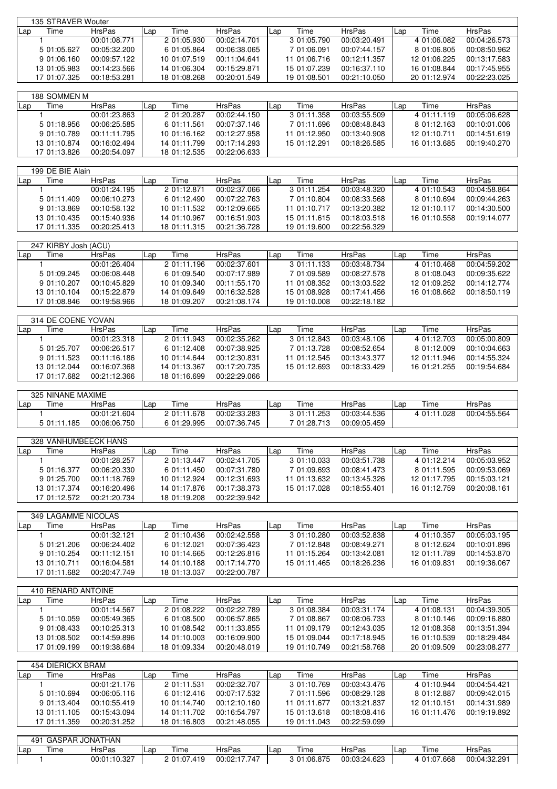|     | 135 STRAVER Wouter |               |     |              |               |     |              |               |     |              |               |  |
|-----|--------------------|---------------|-----|--------------|---------------|-----|--------------|---------------|-----|--------------|---------------|--|
| Lap | l ime              | <b>HrsPas</b> | Lap | Time         | <b>HrsPas</b> | Lap | Time         | <b>HrsPas</b> | Lap | Time         | <b>HrsPas</b> |  |
|     |                    | 00:01:08.771  |     | 2 01:05.930  | 00:02:14.701  |     | 3 01:05.790  | 00:03:20.491  |     | 4 01:06.082  | 00:04:26.573  |  |
|     | 5 01:05.627        | 00:05:32.200  |     | 6 01:05.864  | 00:06:38.065  |     | 7 01:06.091  | 00:07:44.157  |     | 8 01:06.805  | 00:08:50.962  |  |
|     | 9 01:06.160        | 00:09:57.122  |     | 10 01:07.519 | 00:11:04.641  |     | 11 01:06.716 | 00:12:11.357  |     | 12 01:06.225 | 00:13:17.583  |  |
|     | 13 01:05.983       | 00:14:23.566  |     | 14 01:06.304 | 00:15:29.871  |     | 15 01:07.239 | 00:16:37.110  |     | 16 01:08.844 | 00:17:45.955  |  |
|     | 17 01:07.325       | 00:18:53.281  |     | 18 01:08.268 | 00:20:01.549  |     | 19 01:08.501 | 00:21:10.050  |     | 20 01:12.974 | 00:22:23.025  |  |

|       | 188 SOMMEN M |               |     |              |               |      |              |               |     |              |               |  |  |
|-------|--------------|---------------|-----|--------------|---------------|------|--------------|---------------|-----|--------------|---------------|--|--|
| l Lap | Time         | <b>HrsPas</b> | Lap | Time         | <b>HrsPas</b> | .Lap | Time         | <b>HrsPas</b> | Lap | Time         | <b>HrsPas</b> |  |  |
|       |              | 00:01:23.863  |     | 2 01:20.287  | 00:02:44.150  |      | 3 01:11.358  | 00:03:55.509  |     | 4 01:11.119  | 00:05:06.628  |  |  |
|       | 5 01:18.956  | 00:06:25.585  |     | 6 01:11.561  | 00:07:37.146  |      | 7 01:11.696  | 00:08:48.843  |     | 8 01:12.163  | 00:10:01.006  |  |  |
|       | 9 01:10.789  | 00:11:11.795  |     | 10 01:16.162 | 00:12:27.958  |      | 11 01:12.950 | 00:13:40.908  |     | 12 01:10.711 | 00:14:51.619  |  |  |
|       | 13 01:10.874 | 00:16:02.494  |     | 14 01:11.799 | 00:17:14.293  |      | 15 01:12.291 | 00:18:26.585  |     | 16 01:13.685 | 00:19:40.270  |  |  |
|       | 17 01:13.826 | 00:20:54.097  |     | 18 01:12.535 | 00:22:06.633  |      |              |               |     |              |               |  |  |

|       | 199 DE BIE Alain |              |     |              |               |     |              |               |      |              |               |  |  |
|-------|------------------|--------------|-----|--------------|---------------|-----|--------------|---------------|------|--------------|---------------|--|--|
| l Lap | lime             | HrsPas       | Lap | Time         | <b>HrsPas</b> | Lap | Time         | <b>HrsPas</b> | 'Lap | Time         | <b>HrsPas</b> |  |  |
|       |                  | 00:01:24.195 |     | 2 01:12.871  | 00:02:37.066  |     | 3 01:11.254  | 00:03:48.320  |      | 4 01:10.543  | 00:04:58.864  |  |  |
|       | 5 01:11.409      | 00:06:10.273 |     | 6 01:12.490  | 00:07:22.763  |     | 7 01:10.804  | 00:08:33.568  |      | 8 01:10.694  | 00:09:44.263  |  |  |
|       | 9 01:13.869      | 00:10:58.132 |     | 10 01:11.532 | 00:12:09.665  |     | 11 01:10.717 | 00:13:20.382  |      | 12 01:10.117 | 00:14:30.500  |  |  |
|       | 13 01:10.435     | 00:15:40.936 |     | 14 01:10.967 | 00:16:51.903  |     | 15 01:11.615 | 00:18:03.518  |      | 16 01:10.558 | 00:19:14.077  |  |  |
|       | 17 01:11.335     | 00:20:25.413 |     | 18 01:11.315 | 00:21:36.728  |     | 19 01:19.600 | 00:22:56.329  |      |              |               |  |  |

|     | 247 KIRBY Josh (ACU) |               |     |              |               |     |              |               |      |              |               |  |
|-----|----------------------|---------------|-----|--------------|---------------|-----|--------------|---------------|------|--------------|---------------|--|
| Lap | Time                 | <b>HrsPas</b> | Lap | Time         | <b>HrsPas</b> | Lar | Time         | <b>HrsPas</b> | -Lap | Time         | <b>HrsPas</b> |  |
|     |                      | 00:01:26.404  |     | 2 01:11.196  | 00:02:37.601  |     | 3 01:11.133  | 00:03:48.734  |      | 4 01:10.468  | 00:04:59.202  |  |
|     | 5 01:09.245          | 00:06:08.448  |     | 6 01:09.540  | 00:07:17.989  |     | 7 01:09.589  | 00:08:27.578  |      | 8 01:08.043  | 00:09:35.622  |  |
|     | 9 01:10.207          | 00:10:45.829  |     | 10 01:09.340 | 00:11:55.170  |     | 11 01:08.352 | 00:13:03.522  |      | 12 01:09.252 | 00:14:12.774  |  |
|     | 13 01:10.104         | 00:15:22.879  |     | 14 01:09.649 | 00:16:32.528  |     | 15 01:08.928 | 00:17:41.456  |      | 16 01:08.662 | 00:18:50.119  |  |
|     | 17 01:08.846         | 00:19:58.966  |     | 18 01:09.207 | 00:21:08.174  |     | 19 01:10.008 | 00:22:18.182  |      |              |               |  |

|     | 314 DE COENE YOVAN |               |     |              |               |     |              |               |     |              |               |  |
|-----|--------------------|---------------|-----|--------------|---------------|-----|--------------|---------------|-----|--------------|---------------|--|
| Lap | Time               | <b>HrsPas</b> | Lap | Time         | <b>HrsPas</b> | Lap | Time         | <b>HrsPas</b> | Lap | Time         | <b>HrsPas</b> |  |
|     |                    | 00:01:23.318  |     | 2 01:11.943  | 00:02:35.262  |     | 3 01:12.843  | 00:03:48.106  |     | 4 01:12.703  | 00:05:00.809  |  |
|     | 5 01:25.707        | 00:06:26.517  |     | 6 01:12.408  | 00:07:38.925  |     | 7 01:13.728  | 00:08:52.654  |     | 8 01:12.009  | 00:10:04.663  |  |
|     | 9 01:11.523        | 00:11:16.186  |     | 10 01:14.644 | 00:12:30.831  |     | 11 01:12.545 | 00:13:43.377  |     | 12 01:11.946 | 00:14:55.324  |  |
|     | 13 01:12.044       | 00:16:07.368  |     | 14 01:13.367 | 00:17:20.735  |     | 15 01:12.693 | 00:18:33.429  |     | 16 01:21.255 | 00:19:54.684  |  |
|     | 17 01:17.682       | 00:21:12.366  |     | 18 01:16.699 | 00:22:29.066  |     |              |               |     |              |               |  |

|     | 325 NINANE MAXIME |               |     |             |              |     |                  |               |      |             |              |
|-----|-------------------|---------------|-----|-------------|--------------|-----|------------------|---------------|------|-------------|--------------|
| Lap | $- \cdot$<br>ime  | <b>HrsPas</b> | Lar | Time        | HrsPas       | Lap | Time             | <b>HrsPas</b> | ILap | Time        | HrsPas       |
|     |                   | 00:01:21.604  |     | 2 01:11.678 | 00:02:33.283 |     | .253<br>3.01:11. | 00:03:44.536  |      | 4 01:11.028 | 00:04:55.564 |
|     | 5 01:11.185       | 00:06:06.750  |     | 6 01:29.995 | 00:07:36.745 |     | 7 01:28.713      | 00:09:05.459  |      |             |              |

|     | 328 VANHUMBEECK HANS |               |      |              |               |     |              |               |     |              |               |  |  |
|-----|----------------------|---------------|------|--------------|---------------|-----|--------------|---------------|-----|--------------|---------------|--|--|
| Lap | Time                 | <b>HrsPas</b> | .Lap | Time         | <b>HrsPas</b> | Lan | Time         | <b>HrsPas</b> | Lap | Time         | <b>HrsPas</b> |  |  |
|     |                      | 00:01:28.257  |      | 2 01:13.447  | 00:02:41.705  |     | 3 01:10.033  | 00:03:51.738  |     | 4 01:12.214  | 00:05:03.952  |  |  |
|     | 5 01:16.377          | 00:06:20.330  |      | 6 01:11.450  | 00:07:31.780  |     | 7 01:09.693  | 00:08:41.473  |     | 8 01:11.595  | 00:09:53.069  |  |  |
|     | 9 01:25.700          | 00:11:18.769  |      | 10 01:12.924 | 00:12:31.693  |     | 11 01:13.632 | 00:13:45.326  |     | 12 01:17.795 | 00:15:03.121  |  |  |
|     | 13 01:17.374         | 00:16:20.496  |      | 14 01:17.876 | 00:17:38.373  |     | 15 01:17.028 | 00:18:55.401  |     | 16 01:12.759 | 00:20:08.161  |  |  |
|     | 17 01:12.572         | 00:21:20.734  |      | 18 01:19.208 | 00:22:39.942  |     |              |               |     |              |               |  |  |

|     | 349 LAGAMME NICOLAS |               |     |              |               |      |              |               |     |              |               |  |  |
|-----|---------------------|---------------|-----|--------------|---------------|------|--------------|---------------|-----|--------------|---------------|--|--|
| Lap | l ime               | <b>HrsPas</b> | Lap | Time         | <b>HrsPas</b> | Lap) | Time         | <b>HrsPas</b> | Lap | Time         | <b>HrsPas</b> |  |  |
|     |                     | 00:01:32.121  |     | 2 01:10.436  | 00:02:42.558  |      | 3 01:10.280  | 00:03:52.838  |     | 4 01:10.357  | 00:05:03.195  |  |  |
|     | 5 01:21.206         | 00:06:24.402  |     | 6 01:12.021  | 00:07:36.423  |      | 7 01:12.848  | 00:08:49.271  |     | 8 01:12.624  | 00:10:01.896  |  |  |
|     | 9 01:10.254         | 00:11:12.151  |     | 10 01:14.665 | 00:12:26.816  |      | 11 01:15.264 | 00:13:42.081  |     | 12 01:11.789 | 00:14:53.870  |  |  |
|     | 13 01:10.711        | 00:16:04.581  |     | 14 01:10.188 | 00:17:14.770  |      | 15 01:11.465 | 00:18:26.236  |     | 16 01:09.831 | 00:19:36.067  |  |  |
|     | 17 01:11.682        | 00:20:47.749  |     | 18 01:13.037 | 00:22:00.787  |      |              |               |     |              |               |  |  |

|     | 410 RENARD ANTOINE |               |     |              |              |     |              |               |      |              |               |
|-----|--------------------|---------------|-----|--------------|--------------|-----|--------------|---------------|------|--------------|---------------|
| Lap | Time               | <b>HrsPas</b> | Lap | Time         | HrsPas       | Lap | Time         | <b>HrsPas</b> | .Lap | Time         | <b>HrsPas</b> |
|     |                    | 00:01:14.567  |     | 2 01:08.222  | 00:02:22.789 |     | 3 01:08.384  | 00:03:31.174  |      | 4 01:08.131  | 00:04:39.305  |
|     | 5 01:10.059        | 00:05:49.365  |     | 6 01:08.500  | 00:06:57.865 |     | 7 01:08.867  | 00:08:06.733  |      | 8 01:10.146  | 00:09:16.880  |
|     | 9 01:08.433        | 00:10:25.313  |     | 10 01:08.542 | 00:11:33.855 |     | 11 01:09.179 | 00:12:43:035  |      | 12 01:08.358 | 00:13:51.394  |
|     | 13 01:08.502       | 00:14:59.896  |     | 14 01:10.003 | 00:16:09.900 |     | 15 01:09.044 | 00:17:18.945  |      | 16 01:10.539 | 00:18:29.484  |
|     | 17 01:09.199       | 00:19:38.684  |     | 18 01:09.334 | 00:20:48.019 |     | 19 01:10.749 | 00:21:58.768  |      | 20 01:09.509 | 00:23:08.277  |

|     | 454 DIERICKX BRAM |               |     |              |               |       |              |               |     |              |               |
|-----|-------------------|---------------|-----|--------------|---------------|-------|--------------|---------------|-----|--------------|---------------|
| Lap | Time              | <b>HrsPas</b> | Lap | Time         | <b>HrsPas</b> | l Lap | Time         | <b>HrsPas</b> | Lap | Гіmе         | <b>HrsPas</b> |
|     |                   | 00:01:21.176  |     | 2 01:11.531  | 00:02:32.707  |       | 3 01:10.769  | 00:03:43.476  |     | 4 01:10.944  | 00:04:54.421  |
|     | 5 01:10.694       | 00:06:05.116  |     | 6 01:12.416  | 00:07:17.532  |       | 7 01:11.596  | 00:08:29.128  |     | 8 01:12.887  | 00:09:42.015  |
|     | 9 01:13.404       | 00:10:55.419  |     | 10 01:14.740 | 00:12:10.160  |       | 11 01:11.677 | 00:13:21.837  |     | 12 01:10.151 | 00:14:31.989  |
|     | 13 01:11.105      | 00:15:43.094  |     | 14 01:11.702 | 00:16:54.797  |       | 15 01:13.618 | 00:18:08.416  |     | 16 01:11.476 | 00:19:19.892  |
|     | 17 01:11.359      | 00:20:31.252  |     | 18 01:16.803 | 00:21:48.055  |       | 19 01:11.043 | 00:22:59.099  |     |              |               |

|     |           | 491 GASPAR JONATHAN |      |             |              |      |             |               |       |             |               |
|-----|-----------|---------------------|------|-------------|--------------|------|-------------|---------------|-------|-------------|---------------|
| Lap | -<br>lime | <b>HrsPas</b>       | .Lap | ime         | HrsPas       | ⊩Lap | Time        | <b>HrsPas</b> | I Lap | Time        | <b>HrsPas</b> |
|     |           | 00:01:10.327        |      | 2 01:07.419 | 00:02:17.747 |      | 3 01:06.875 | 00:03:24.623  |       | . 01:07.668 | 00:04:32.291  |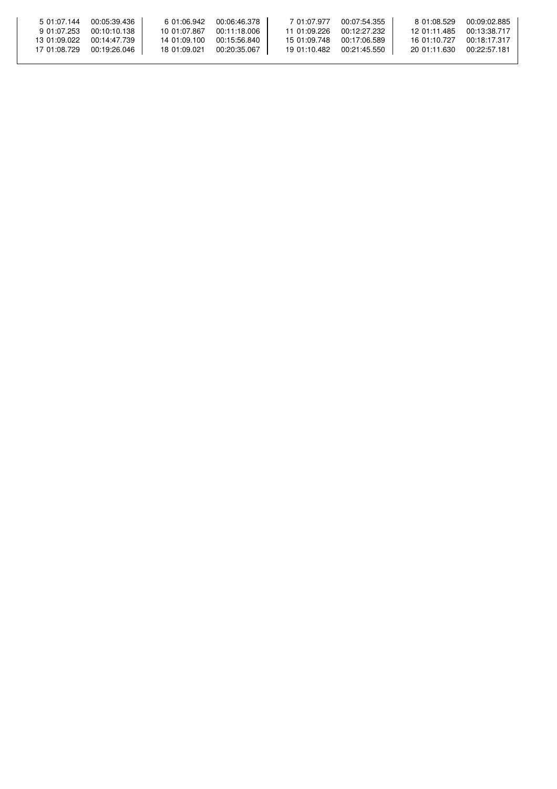| 5 01:07.144  | 00:05:39.436 | 6.01:06.942  | 00:06:46.378 | 7 01:07.977  | 00:07:54.355 | 8 01:08.529  | 00:09:02.885 |
|--------------|--------------|--------------|--------------|--------------|--------------|--------------|--------------|
| 9 01:07.253  | 00:10:10.138 | 10 01:07.867 | 00:11:18.006 | 11 01:09.226 | 00:12:27.232 | 12 01:11 485 | 00:13:38.717 |
| 13 01:09.022 | 00:14:47.739 | 14 01:09 100 | 00:15:56.840 | 15 01:09.748 | 00:17:06.589 | 16.01:10.727 | 00:18:17.317 |
| 17 01:08.729 | 00:19:26.046 | 18 01:09.021 | 00:20:35.067 | 19 01:10.482 | 00:21:45.550 | 20 01:11 630 | 00:22:57.181 |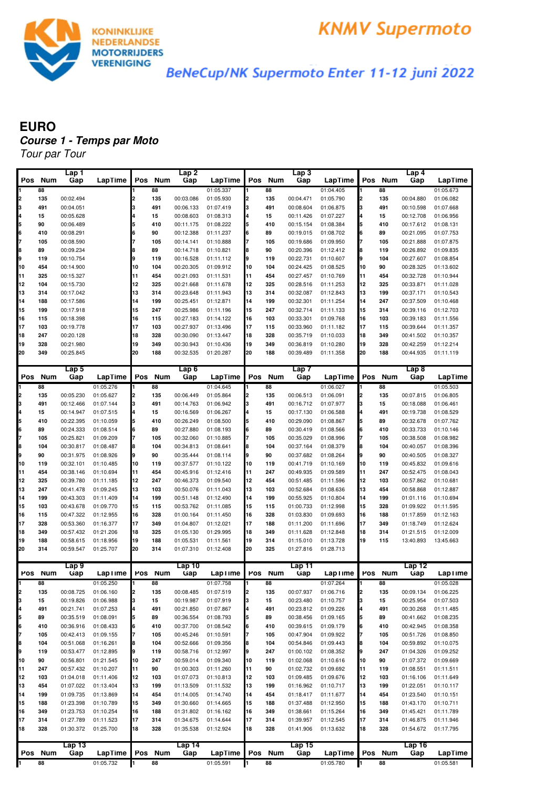



BeNeCup/NK Supermoto Enter 11-12 juni 2022

## Tour par Tour **EURO Course 1 - Temps par Moto**

|          |            | Lap1                   |                        |          |            | Lap2                   |                        |          |            | Lap 3                  |                        |          |            | Lap <sub>4</sub>       |                        |
|----------|------------|------------------------|------------------------|----------|------------|------------------------|------------------------|----------|------------|------------------------|------------------------|----------|------------|------------------------|------------------------|
| Pos      | <b>Num</b> | Gap                    | LapTime                | Pos      | <b>Num</b> | Gap                    | LapTime                | Pos      | <b>Num</b> | Gap                    | LapTime                | Pos      | <b>Num</b> | Gap                    | LapTime                |
| 1        | 88         |                        |                        |          | 88         |                        | 01:05.337              |          | 88         |                        | 01:04.405              |          | 88         |                        | 01:05.673              |
| 2        | 135        | 00:02.494              |                        |          | 135        | 00:03.086              | 01:05.930              | 2        | 135        | 00:04.471              | 01:05.790              | 2        | 135        | 00:04.880              | 01:06.082              |
| 3        | 491        | 00:04.051              |                        |          | 491        | 00:06.133              | 01:07.419              | 3        | 491        | 00:08.604              | 01:06.875              | 3        | 491        | 00:10.598              | 01:07.668              |
| 4        | 15         | 00:05.628              |                        |          | 15         | 00:08.603              | 01:08.313              | 4        | 15         | 00:11.426              | 01:07.227              | 4        | 15         | 00:12.708              | 01:06.956              |
| 5        | 90         | 00:06.489              |                        |          | 410        | 00:11.175              | 01:08.222              | 5        | 410        | 00:15.154              | 01:08.384              | 5        | 410        | 00:17.612              | 01:08.131              |
| 6        | 410        | 00:08.291              |                        |          | 90         | 00:12.388              | 01:11.237              | 6        | 89         | 00:19.015              | 01:08.702              | 6        | 89         | 00:21.095              | 01:07.753              |
| 7        | 105        | 00:08.590              |                        |          | 105        | 00:14.141              | 01:10.888              | 7        | 105        | 00:19.686              | 01:09.950              | 7        | 105        | 00:21.888              | 01:07.875              |
| 8        | 89         | 00:09.234              |                        |          | 89         | 00:14.718              | 01:10.821              | 8        | 90         | 00:20.396              | 01:12.412              | 8        | 119        | 00:26.892              | 01:09.835              |
| l9       | 119        | 00:10.754              |                        | g        | 119        | 00:16.528              | 01:11.112              | 9        | 119        | 00:22.731              | 01:10.607              | 9        | 104        | 00:27.607              | 01:08.854              |
| 10       | 454        | 00:14.900              |                        | 10       | 104        | 00:20.305              | 01:09.912              | 10       | 104        | 00:24.425              | 01:08.525              | 10       | 90         | 00:28.325              | 01:13.602              |
| 11       | 325        | 00:15.327              |                        | 11       | 454        | 00:21.093              | 01:11.531              | 11       | 454        | 00:27.457              | 01:10.769              | 11       | 454        | 00:32.728              | 01:10.944              |
| 12       | 104        | 00:15.730              |                        | 12       | 325        | 00:21.668              | 01:11.678              | 12       | 325        | 00:28.516              | 01:11.253              | 12       | 325        | 00:33.871              | 01:11.028              |
| 13       | 314        | 00:17.042              |                        | 13       | 314        | 00:23.648              | 01:11.943              | 13       | 314        | 00:32.087              | 01:12.843              | 13       | 199        | 00:37.171              | 01:10.543              |
| 14       | 188        | 00:17.586              |                        | 14       | 199        | 00:25.451              | 01:12.871              | 14       | 199        | 00:32.301              | 01:11.254              | 14       | 247        | 00:37.509              | 01:10.468              |
| 15       | 199<br>115 | 00:17.918              |                        | 15<br>16 | 247        | 00:25.986<br>00:27.183 | 01:11.196              | 15<br>16 | 247<br>103 | 00:32.714              | 01:11.133              | 15<br>16 | 314<br>103 | 00:39.116<br>00:39.183 | 01:12.703              |
| 16<br>17 | 103        | 00:18.398<br>00:19.778 |                        | 17       | 115<br>103 | 00:27.937              | 01:14.122<br>01:13.496 | 17       | 115        | 00:33.301<br>00:33.960 | 01:09.768<br>01:11.182 | 17       | 115        | 00:39.644              | 01:11.556<br>01:11.357 |
| 18       | 247        | 00:20.128              |                        | 18       | 328        | 00:30.090              | 01:13.447              | 18       | 328        | 00:35.719              | 01:10.033              | 18       | 349        | 00:41.502              | 01:10.357              |
| 19       | 328        | 00:21.980              |                        | 19       | 349        | 00:30.943              | 01:10.436              | 19       | 349        | 00:36.819              | 01:10.280              | 19       | 328        | 00:42.259              | 01:12.214              |
| 20       | 349        | 00:25.845              |                        | 20       | 188        | 00:32.535              | 01:20.287              | 20       | 188        | 00:39.489              | 01:11.358              | 20       | 188        | 00:44.935              | 01:11.119              |
|          |            |                        |                        |          |            |                        |                        |          |            |                        |                        |          |            |                        |                        |
|          |            | Lap <sub>5</sub>       |                        |          |            | Lap6                   |                        |          |            | Lap 7                  |                        |          |            | Lap8                   |                        |
| Pos      | <b>Num</b> | Gap                    | LapTime                | Pos      | <b>Num</b> | Gap                    | LapTime                | Pos      | <b>Num</b> | Gap                    | LapTime                | Pos      | <b>Num</b> | Gap                    | LapTime                |
| 1        | 88         |                        | 01:05.276              |          | 88         |                        | 01:04.645              |          | 88         |                        | 01:06.027              |          | 88         |                        | 01:05.503              |
| 2        | 135        | 00:05.230              | 01:05.627              | 2        | 135        | 00:06.449              | 01:05.864              | 2        | 135        | 00:06.513              | 01:06.091              | 2        | 135        | 00:07.815              | 01:06.805              |
| 3        | 491        | 00:12.466              | 01:07.144              | 3        | 491        | 00:14.763              | 01:06.942              | 3        | 491        | 00:16.712              | 01:07.977              | 3        | 15         | 00:18.088              | 01:06.461              |
| 4        | 15         | 00:14.947              | 01:07.515              |          | 15         | 00:16.569              | 01:06.267              | 4        | 15         | 00:17.130              | 01:06.588              | 4        | 491        | 00:19.738              | 01:08.529              |
| 5        | 410        | 00:22.395              | 01:10.059              | 5        | 410        | 00:26.249              | 01:08.500              | 5        | 410        | 00:29.090              | 01:08.867              | 5        | 89         | 00:32.678              | 01:07.762              |
| 6        | 89         | 00:24.333              | 01:08.514              |          | 89         | 00:27.880              | 01:08.193              | 6        | 89         | 00:30.419              | 01:08.566              | 6        | 410        | 00:33.733              | 01:10.146              |
| 7        | 105        | 00:25.821              | 01:09.209              |          | 105        | 00:32.060              | 01:10.885              | 7        | 105        | 00:35.029              | 01:08.996              | 7        | 105        | 00:38.508              | 01:08.982              |
| 8        | 104        | 00:30.817              | 01:08.487              |          | 104        | 00:34.813              | 01:08.641              | 8        | 104        | 00:37.164              | 01:08.379              | 8        | 104        | 00:40.057              | 01:08.396              |
| l9       | 90         | 00:31.975              | 01:08.926              | g        | 90         | 00:35.444              | 01:08.114              | 9        | 90         | 00:37.682              | 01:08.264              | 9        | 90         | 00:40.505              | 01:08.327              |
| 10       | 119        | 00:32.101              | 01:10.485              | 10       | 119        | 00:37.577              | 01:10.122              | 10       | 119        | 00:41.719              | 01:10.169              | 10       | 119        | 00:45.832              | 01:09.616              |
| 11       | 454        | 00:38.146              | 01:10.694              | 11       | 454        | 00:45.916              | 01:12.416              | 11       | 247        | 00:49.935              | 01:09.589              | 11       | 247        | 00:52.475              | 01:08.043              |
| 12       | 325        | 00:39.780              | 01:11.185              | 12       | 247        | 00:46.373              | 01:09.540              | 12       | 454        | 00:51.485              | 01:11.596              | 12       | 103        | 00:57.862              | 01:10.681              |
| 13       | 247        | 00:41.478              | 01:09.245              | 13       | 103        | 00:50.076              | 01:11.043              | 13       | 103        | 00:52.684              | 01:08.636              | 13       | 454        | 00:58.868              | 01:12.887              |
| 14       | 199        | 00:43.303              | 01:11.409              | 14       | 199        | 00:51.148              | 01:12.490              | 14       | 199        | 00:55.925              | 01:10.804              | 14       | 199        | 01:01.116              | 01:10.694              |
| 15       | 103        | 00:43.678              | 01:09.770              | 15<br>16 | 115        | 00:53.762              | 01:11.085              | 15<br>16 | 115        | 01:00.733              | 01:12.998              | 15<br>16 | 328        | 01:09.922              | 01:11.595              |
| 16<br>17 | 115<br>328 | 00:47.322<br>00:53.360 | 01:12.955<br>01:16.377 | 17       | 328<br>349 | 01:00.164<br>01:04.807 | 01:11.450<br>01:12.021 | 17       | 328<br>188 | 01:03.830<br>01:11.200 | 01:09.693<br>01:11.696 | 17       | 188<br>349 | 01:17.859<br>01:18.749 | 01:12.163<br>01:12.624 |
| 18       | 349        | 00:57.432              | 01:21.206              | 18       | 325        | 01:05.130              | 01:29.995              | 18       | 349        | 01:11.628              | 01:12.848              | 18       | 314        | 01:21.515              | 01:12.009              |
| 19       | 188        | 00:58.615              | 01:18.956              | 19       | 188        | 01:05.531              | 01:11.561              | 19       | 314        | 01:15.010              | 01:13.728              | 19       | 115        | 13:40.893              | 13:45.663              |
| 20       | 314        | 00:59.547              | 01:25.707              | 20       | 314        | 01:07.310              | 01:12.408              | 20       | 325        | 01:27.816              | 01:28.713              |          |            |                        |                        |
|          |            |                        |                        |          |            |                        |                        |          |            |                        |                        |          |            |                        |                        |
|          |            | Lap9                   |                        |          |            | Lap10                  |                        |          |            | Lap 11                 |                        |          |            | Lap 12                 |                        |
| Pos      | <b>Num</b> | Gap                    | LapTime                | Pos      | Num        | Gap                    | LapTime                | Pos      | <b>Num</b> | Gap                    | LapTime                | Pos      | <b>Num</b> | Gap                    | LapTime                |
| I1.      | 88         |                        | 01:05.250              |          | 88         |                        | 01:07.758              |          | 88         |                        | 01:07.264              |          | 88         |                        | 01:05.028              |
| 2        | 135        | 00:08.725              | 01:06.160              | 2        | 135        | 00:08.485              | 01:07.519              | 2        | 135        | 00:07.937              | 01:06.716              | 2        | 135        | 00:09.134              | 01:06.225              |
| l3       | 15         | 00:19.826              | 01:06.988              | 3        | 15         | 00:19.987              | 01:07.919              | 3        | 15         | 00:23.480              | 01:10.757              | 3        | 15         | 00:25.954              | 01:07.503              |
| 4        | 491        | 00:21.741              | 01:07.253              |          | 491        | 00:21.850              | 01:07.867              | 4        | 491        | 00:23.812              | 01:09.226              | 4        | 491        | 00:30.268              | 01:11.485              |
| 5        | 89         | 00:35.519              | 01:08.091              | 5        | 89         | 00:36.554              | 01:08.793              | 5        | 89         | 00:38.456              | 01:09.165              | 5        | 89         | 00:41.662              | 01:08.235              |
| 6        | 410        | 00:36.916              | 01:08.433              |          | 410        | 00:37.700              | 01:08.542              | 6        | 410        | 00:39.615              | 01:09.179              | 6        | 410        | 00:42.945              | 01:08.358              |
| 7        | 105        | 00:42.413              | 01:09.155              |          | 105        | 00:45.246              | 01:10.591              | 7        | 105        | 00:47.904              | 01:09.922              | 7        | 105        | 00:51.726              | 01:08.850              |
| 8        | 104        | 00:51.068              | 01:16.261              |          | 104        | 00:52.666              | 01:09.356              | 8        | 104        | 00:54.846              | 01:09.443              | 8        | 104        | 00:59.892              | 01:10.075              |
| g,       | 119        | 00:53.477              | 01:12.895              | 9        | 119        | 00:58.716              | 01:12.997              | 9        | 247        | 01:00.102              | 01:08.352              | 9        | 247        | 01:04.326              | 01:09.252              |
| 10       | 90         | 00:56.801              | 01:21.545              | 10       | 247        | 00:59.014              | 01:09.340              | 10<br>11 | 119        | 01:02.068              | 01:10.616              | 10       | 90         | 01:07.372              | 01:09.669              |
| 11       | 247        | 00:57.432              | 01:10.207              | 11<br>12 | 90         | 01:00.303<br>01:07.073 | 01:11.260              | 12       | 90         | 01:02.732<br>01:09.485 | 01:09.692              | 11<br>12 | 119        | 01:08.551              | 01:11.511              |
| 12<br>13 | 103<br>454 | 01:04.018<br>01:07.022 | 01:11.406<br>01:13.404 | 13       | 103<br>199 | 01:13.509              | 01:10.813<br>01:11.532 | 13       | 103<br>199 | 01:16.962              | 01:09.676<br>01:10.717 | 13       | 103<br>199 | 01:16.106<br>01:22.051 | 01:11.649<br>01:10.117 |
| 14       | 199        | 01:09.735              | 01:13.869              | 14       | 454        | 01:14.005              | 01:14.740              | 14       | 454        | 01:18.417              | 01:11.677              | 14       | 454        | 01:23.540              | 01:10.151              |
| 15       | 188        | 01:23.398              | 01:10.789              | 15       | 349        | 01:30.660              | 01:14.665              | 15       | 188        | 01:37.488              | 01:12.950              | 15       | 188        | 01:43.170              | 01:10.711              |
| 16       | 349        | 01:23.753              | 01:10.254              | 16       | 188        | 01:31.802              | 01:16.162              | 16       | 349        | 01:38.661              | 01:15.264              | 16       | 349        | 01:45.421              | 01:11.789              |
| 17       | 314        | 01:27.789              | 01:11.523              | 17       | 314        | 01:34.675              | 01:14.644              | 17       | 314        | 01:39.957              | 01:12.545              | 17       | 314        | 01:46.875              | 01:11.946              |
| 18       | 328        | 01:30.372              | 01:25.700              | 18       | 328        | 01:35.538              | 01:12.924              | 18       | 328        | 01:41.906              | 01:13.632              | 18       | 328        | 01:54.672              | 01:17.795              |
|          |            |                        |                        |          |            |                        |                        |          |            |                        |                        |          |            |                        |                        |
|          |            | Lap13                  |                        |          |            | Lap $14$               |                        |          |            | Lap15                  |                        |          |            | Lap 16                 |                        |
| Pos      | <b>Num</b> | Gap                    | LapTime                | Pos      | Num        | Gap                    | LapTime                | Pos      | Num        | Gap                    | LapTime                |          | Pos Num    | Gap                    | LapTime                |
| 1        | 88         |                        | 01:05.732              |          | 88         |                        | 01:05.591              |          | 88         |                        | 01:05.780              |          | 88         |                        | 01:05.581              |